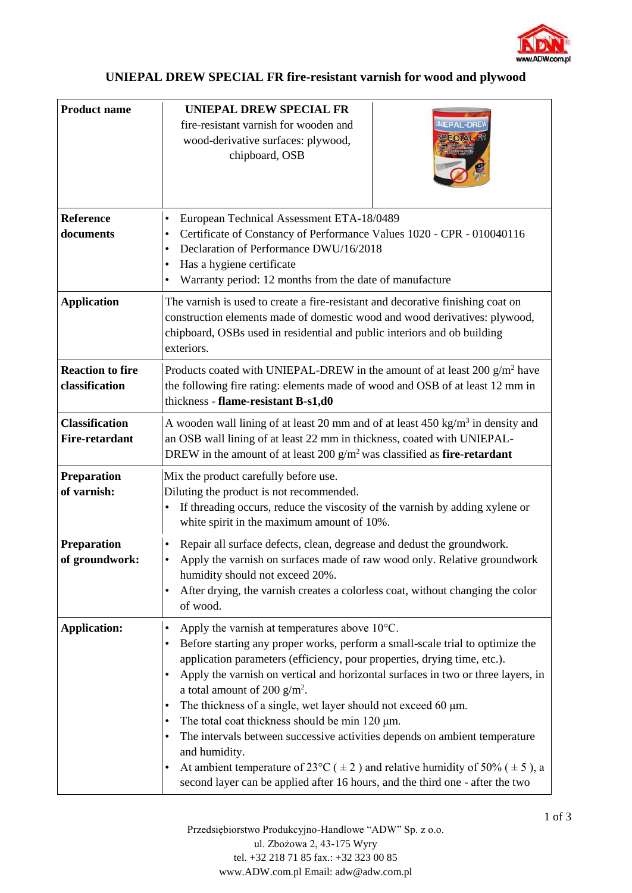

## **UNIEPAL DREW SPECIAL FR fire-resistant varnish for wood and plywood**

| <b>Product name</b>                            | <b>UNIEPAL DREW SPECIAL FR</b><br>fire-resistant varnish for wooden and<br><b>IEPAL-DREV</b><br>wood-derivative surfaces: plywood,<br>chipboard, OSB                                                                                                                                                                                                                                                                                                                                                                                                                                                                                                                                                                                                                                                    |
|------------------------------------------------|---------------------------------------------------------------------------------------------------------------------------------------------------------------------------------------------------------------------------------------------------------------------------------------------------------------------------------------------------------------------------------------------------------------------------------------------------------------------------------------------------------------------------------------------------------------------------------------------------------------------------------------------------------------------------------------------------------------------------------------------------------------------------------------------------------|
| <b>Reference</b><br>documents                  | European Technical Assessment ETA-18/0489<br>$\bullet$<br>Certificate of Constancy of Performance Values 1020 - CPR - 010040116<br>$\bullet$<br>Declaration of Performance DWU/16/2018<br>$\bullet$<br>Has a hygiene certificate<br>٠<br>Warranty period: 12 months from the date of manufacture<br>$\bullet$                                                                                                                                                                                                                                                                                                                                                                                                                                                                                           |
| <b>Application</b>                             | The varnish is used to create a fire-resistant and decorative finishing coat on<br>construction elements made of domestic wood and wood derivatives: plywood,<br>chipboard, OSBs used in residential and public interiors and ob building<br>exteriors.                                                                                                                                                                                                                                                                                                                                                                                                                                                                                                                                                 |
| <b>Reaction to fire</b><br>classification      | Products coated with UNIEPAL-DREW in the amount of at least $200 \text{ g/m}^2$ have<br>the following fire rating: elements made of wood and OSB of at least 12 mm in<br>thickness - flame-resistant B-s1,d0                                                                                                                                                                                                                                                                                                                                                                                                                                                                                                                                                                                            |
| <b>Classification</b><br><b>Fire-retardant</b> | A wooden wall lining of at least 20 mm and of at least $450 \text{ kg/m}^3$ in density and<br>an OSB wall lining of at least 22 mm in thickness, coated with UNIEPAL-<br>DREW in the amount of at least 200 $g/m^2$ was classified as fire-retardant                                                                                                                                                                                                                                                                                                                                                                                                                                                                                                                                                    |
| <b>Preparation</b><br>of varnish:              | Mix the product carefully before use.<br>Diluting the product is not recommended.<br>If threading occurs, reduce the viscosity of the varnish by adding xylene or<br>white spirit in the maximum amount of 10%.                                                                                                                                                                                                                                                                                                                                                                                                                                                                                                                                                                                         |
| <b>Preparation</b><br>of groundwork:           | Repair all surface defects, clean, degrease and dedust the groundwork.<br>$\bullet$<br>Apply the varnish on surfaces made of raw wood only. Relative groundwork<br>$\bullet$<br>humidity should not exceed 20%.<br>After drying, the varnish creates a colorless coat, without changing the color<br>$\bullet$<br>of wood.                                                                                                                                                                                                                                                                                                                                                                                                                                                                              |
| <b>Application:</b>                            | Apply the varnish at temperatures above 10°C.<br>$\bullet$<br>Before starting any proper works, perform a small-scale trial to optimize the<br>application parameters (efficiency, pour properties, drying time, etc.).<br>Apply the varnish on vertical and horizontal surfaces in two or three layers, in<br>$\bullet$<br>a total amount of 200 $g/m^2$ .<br>The thickness of a single, wet layer should not exceed 60 $\mu$ m.<br>$\bullet$<br>The total coat thickness should be min 120 µm.<br>٠<br>The intervals between successive activities depends on ambient temperature<br>and humidity.<br>At ambient temperature of 23 <sup>o</sup> C ( $\pm$ 2) and relative humidity of 50% ( $\pm$ 5), a<br>$\bullet$<br>second layer can be applied after 16 hours, and the third one - after the two |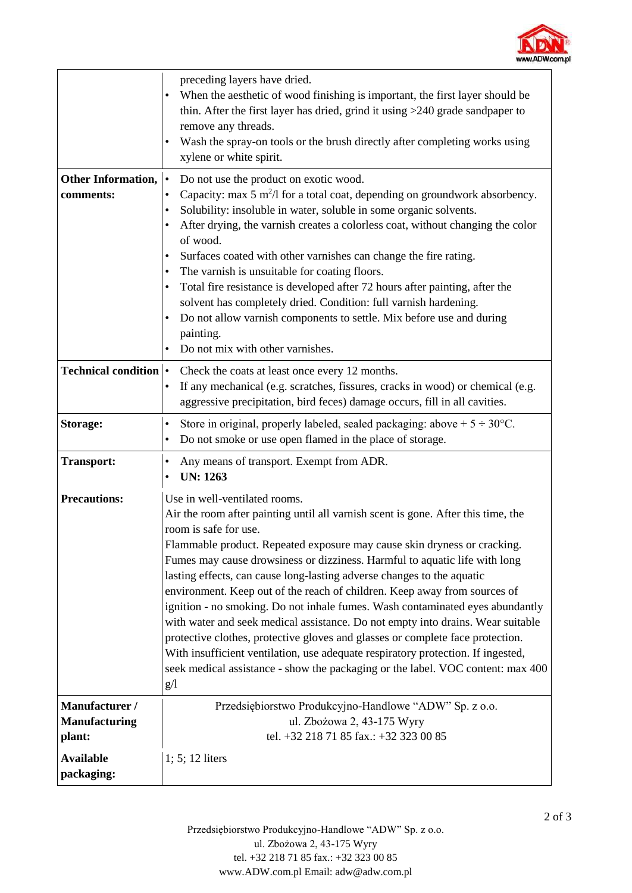

|                                                  | preceding layers have dried.<br>When the aesthetic of wood finishing is important, the first layer should be<br>thin. After the first layer has dried, grind it using >240 grade sandpaper to<br>remove any threads.<br>Wash the spray-on tools or the brush directly after completing works using<br>٠<br>xylene or white spirit.                                                                                                                                                                                                                                                                                                                                                                                                                                                                                                                                                               |
|--------------------------------------------------|--------------------------------------------------------------------------------------------------------------------------------------------------------------------------------------------------------------------------------------------------------------------------------------------------------------------------------------------------------------------------------------------------------------------------------------------------------------------------------------------------------------------------------------------------------------------------------------------------------------------------------------------------------------------------------------------------------------------------------------------------------------------------------------------------------------------------------------------------------------------------------------------------|
| <b>Other Information,</b><br>comments:           | Do not use the product on exotic wood.<br>$\bullet$<br>Capacity: $\max 5$ m <sup>2</sup> /l for a total coat, depending on groundwork absorbency.<br>Solubility: insoluble in water, soluble in some organic solvents.<br>٠<br>After drying, the varnish creates a colorless coat, without changing the color<br>٠<br>of wood.<br>Surfaces coated with other varnishes can change the fire rating.<br>٠<br>The varnish is unsuitable for coating floors.<br>٠<br>Total fire resistance is developed after 72 hours after painting, after the<br>٠<br>solvent has completely dried. Condition: full varnish hardening.<br>Do not allow varnish components to settle. Mix before use and during<br>painting.<br>Do not mix with other varnishes.                                                                                                                                                   |
| <b>Technical condition  </b>                     | Check the coats at least once every 12 months.<br>If any mechanical (e.g. scratches, fissures, cracks in wood) or chemical (e.g.<br>$\bullet$<br>aggressive precipitation, bird feces) damage occurs, fill in all cavities.                                                                                                                                                                                                                                                                                                                                                                                                                                                                                                                                                                                                                                                                      |
| Storage:                                         | Store in original, properly labeled, sealed packaging: above $+5 \div 30^{\circ}$ C.<br>٠<br>Do not smoke or use open flamed in the place of storage.<br>$\bullet$                                                                                                                                                                                                                                                                                                                                                                                                                                                                                                                                                                                                                                                                                                                               |
| <b>Transport:</b>                                | Any means of transport. Exempt from ADR.<br>٠<br><b>UN: 1263</b><br>$\bullet$                                                                                                                                                                                                                                                                                                                                                                                                                                                                                                                                                                                                                                                                                                                                                                                                                    |
| <b>Precautions:</b>                              | Use in well-ventilated rooms.<br>Air the room after painting until all varnish scent is gone. After this time, the<br>room is safe for use.<br>Flammable product. Repeated exposure may cause skin dryness or cracking.<br>Fumes may cause drowsiness or dizziness. Harmful to aquatic life with long<br>lasting effects, can cause long-lasting adverse changes to the aquatic<br>environment. Keep out of the reach of children. Keep away from sources of<br>ignition - no smoking. Do not inhale fumes. Wash contaminated eyes abundantly<br>with water and seek medical assistance. Do not empty into drains. Wear suitable<br>protective clothes, protective gloves and glasses or complete face protection.<br>With insufficient ventilation, use adequate respiratory protection. If ingested,<br>seek medical assistance - show the packaging or the label. VOC content: max 400<br>g/1 |
| Manufacturer /<br><b>Manufacturing</b><br>plant: | Przedsiębiorstwo Produkcyjno-Handlowe "ADW" Sp. z o.o.<br>ul. Zbożowa 2, 43-175 Wyry<br>tel. +32 218 71 85 fax.: +32 323 00 85                                                                                                                                                                                                                                                                                                                                                                                                                                                                                                                                                                                                                                                                                                                                                                   |
| <b>Available</b><br>packaging:                   | $1; 5; 12$ liters                                                                                                                                                                                                                                                                                                                                                                                                                                                                                                                                                                                                                                                                                                                                                                                                                                                                                |